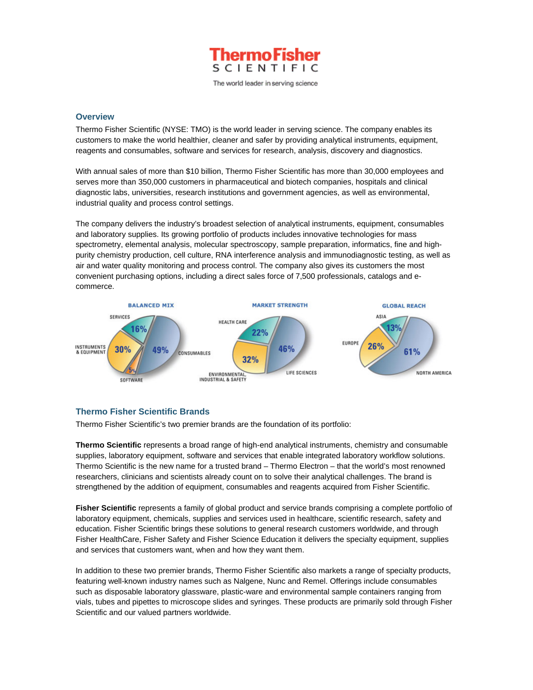

The world leader in serving science

## **Overview**

Thermo Fisher Scientific (NYSE: TMO) is the world leader in serving science. The company enables its customers to make the world healthier, cleaner and safer by providing analytical instruments, equipment, reagents and consumables, software and services for research, analysis, discovery and diagnostics.

With annual sales of more than \$10 billion, Thermo Fisher Scientific has more than 30,000 employees and serves more than 350,000 customers in pharmaceutical and biotech companies, hospitals and clinical diagnostic labs, universities, research institutions and government agencies, as well as environmental, industrial quality and process control settings.

The company delivers the industry's broadest selection of analytical instruments, equipment, consumables and laboratory supplies. Its growing portfolio of products includes innovative technologies for mass spectrometry, elemental analysis, molecular spectroscopy, sample preparation, informatics, fine and highpurity chemistry production, cell culture, RNA interference analysis and immunodiagnostic testing, as well as air and water quality monitoring and process control. The company also gives its customers the most convenient purchasing options, including a direct sales force of 7,500 professionals, catalogs and ecommerce.



# **Thermo Fisher Scientific Brands**

Thermo Fisher Scientific's two premier brands are the foundation of its portfolio:

**Thermo Scientific** represents a broad range of high-end analytical instruments, chemistry and consumable supplies, laboratory equipment, software and services that enable integrated laboratory workflow solutions. Thermo Scientific is the new name for a trusted brand – Thermo Electron – that the world's most renowned researchers, clinicians and scientists already count on to solve their analytical challenges. The brand is strengthened by the addition of equipment, consumables and reagents acquired from Fisher Scientific.

**Fisher Scientific** represents a family of global product and service brands comprising a complete portfolio of laboratory equipment, chemicals, supplies and services used in healthcare, scientific research, safety and education. Fisher Scientific brings these solutions to general research customers worldwide, and through Fisher HealthCare, Fisher Safety and Fisher Science Education it delivers the specialty equipment, supplies and services that customers want, when and how they want them.

In addition to these two premier brands, Thermo Fisher Scientific also markets a range of specialty products, featuring well-known industry names such as Nalgene, Nunc and Remel. Offerings include consumables such as disposable laboratory glassware, plastic-ware and environmental sample containers ranging from vials, tubes and pipettes to microscope slides and syringes. These products are primarily sold through Fisher Scientific and our valued partners worldwide.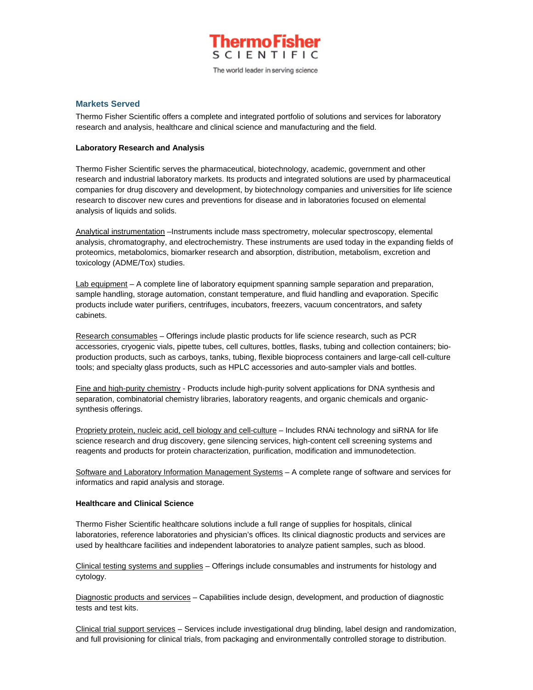

The world leader in serving science

# **Markets Served**

Thermo Fisher Scientific offers a complete and integrated portfolio of solutions and services for laboratory research and analysis, healthcare and clinical science and manufacturing and the field.

## **Laboratory Research and Analysis**

Thermo Fisher Scientific serves the pharmaceutical, biotechnology, academic, government and other research and industrial laboratory markets. Its products and integrated solutions are used by pharmaceutical companies for drug discovery and development, by biotechnology companies and universities for life science research to discover new cures and preventions for disease and in laboratories focused on elemental analysis of liquids and solids.

Analytical instrumentation –Instruments include mass spectrometry, molecular spectroscopy, elemental analysis, chromatography, and electrochemistry. These instruments are used today in the expanding fields of proteomics, metabolomics, biomarker research and absorption, distribution, metabolism, excretion and toxicology (ADME/Tox) studies.

Lab equipment – A complete line of laboratory equipment spanning sample separation and preparation, sample handling, storage automation, constant temperature, and fluid handling and evaporation. Specific products include water purifiers, centrifuges, incubators, freezers, vacuum concentrators, and safety cabinets.

Research consumables – Offerings include plastic products for life science research, such as PCR accessories, cryogenic vials, pipette tubes, cell cultures, bottles, flasks, tubing and collection containers; bioproduction products, such as carboys, tanks, tubing, flexible bioprocess containers and large-call cell-culture tools; and specialty glass products, such as HPLC accessories and auto-sampler vials and bottles.

Fine and high-purity chemistry - Products include high-purity solvent applications for DNA synthesis and separation, combinatorial chemistry libraries, laboratory reagents, and organic chemicals and organicsynthesis offerings.

Propriety protein, nucleic acid, cell biology and cell-culture – Includes RNAi technology and siRNA for life science research and drug discovery, gene silencing services, high-content cell screening systems and reagents and products for protein characterization, purification, modification and immunodetection.

Software and Laboratory Information Management Systems – A complete range of software and services for informatics and rapid analysis and storage.

#### **Healthcare and Clinical Science**

Thermo Fisher Scientific healthcare solutions include a full range of supplies for hospitals, clinical laboratories, reference laboratories and physician's offices. Its clinical diagnostic products and services are used by healthcare facilities and independent laboratories to analyze patient samples, such as blood.

Clinical testing systems and supplies – Offerings include consumables and instruments for histology and cytology.

Diagnostic products and services – Capabilities include design, development, and production of diagnostic tests and test kits.

Clinical trial support services – Services include investigational drug blinding, label design and randomization, and full provisioning for clinical trials, from packaging and environmentally controlled storage to distribution.